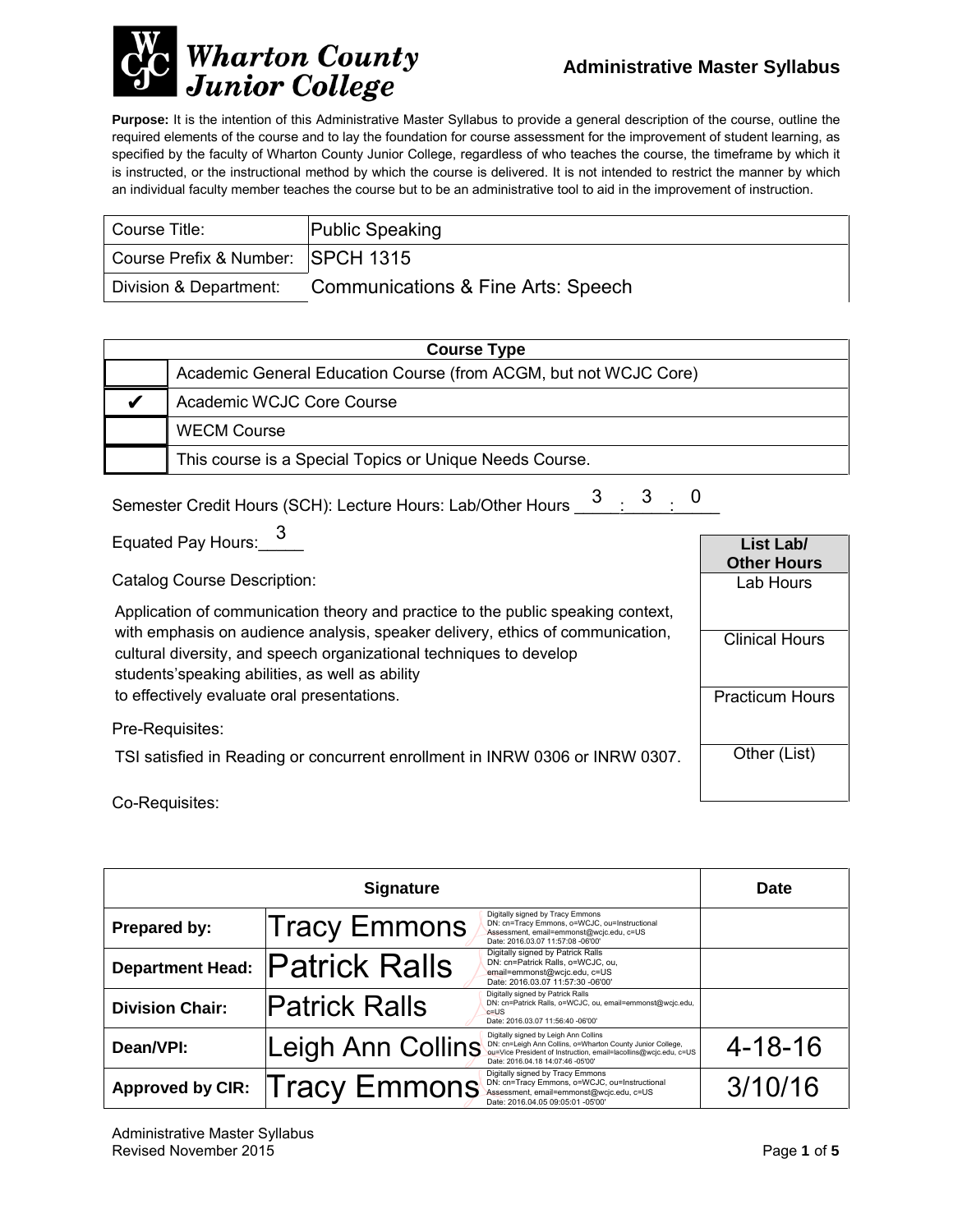

**Purpose:** It is the intention of this Administrative Master Syllabus to provide a general description of the course, outline the required elements of the course and to lay the foundation for course assessment for the improvement of student learning, as specified by the faculty of Wharton County Junior College, regardless of who teaches the course, the timeframe by which it is instructed, or the instructional method by which the course is delivered. It is not intended to restrict the manner by which an individual faculty member teaches the course but to be an administrative tool to aid in the improvement of instruction.

| Course Title:                     | <b>Public Speaking</b>             |
|-----------------------------------|------------------------------------|
| Course Prefix & Number: SPCH 1315 |                                    |
| Division & Department:            | Communications & Fine Arts: Speech |

| <b>Course Type</b> |                                                                  |  |
|--------------------|------------------------------------------------------------------|--|
|                    | Academic General Education Course (from ACGM, but not WCJC Core) |  |
|                    | Academic WCJC Core Course                                        |  |
|                    | <b>WECM Course</b>                                               |  |
|                    | This course is a Special Topics or Unique Needs Course.          |  |

| Semester Credit Hours (SCH): Lecture Hours: Lab/Other Hours $\frac{3}{2}$ : $\frac{3}{2}$ : 0 |  |  |
|-----------------------------------------------------------------------------------------------|--|--|
|                                                                                               |  |  |

Equated Pay Hours:\_\_\_\_\_ 3

Catalog Course Description:

Application of communication theory and practice to the public speaking context, with emphasis on audience analysis, speaker delivery, ethics of communication, cultural diversity, and speech organizational techniques to develop students'speaking abilities, as well as ability to effectively evaluate oral presentations.

Pre-Requisites:

TSI satisfied in Reading or concurrent enrollment in INRW 0306 or INRW 0307.

Co-Requisites:

|                         | <b>Signature</b>     |                                                                                                                                                                                                              | <b>Date</b>   |
|-------------------------|----------------------|--------------------------------------------------------------------------------------------------------------------------------------------------------------------------------------------------------------|---------------|
| Prepared by:            | Tracy Emmons         | Digitally signed by Tracy Emmons<br>DN: cn=Tracy Emmons, o=WCJC, ou=Instructional<br>Assessment, email=emmonst@wcjc.edu, c=US<br>Date: 2016.03.07 11:57:08 -06'00'                                           |               |
| <b>Department Head:</b> | <b>Patrick Ralls</b> | Digitally signed by Patrick Ralls<br>DN: cn=Patrick Ralls, o=WCJC, ou,<br>email=emmonst@wcjc.edu, c=US<br>Date: 2016.03.07 11:57:30 -06'00'                                                                  |               |
| <b>Division Chair:</b>  | <b>Patrick Ralls</b> | Digitally signed by Patrick Ralls<br>DN: cn=Patrick Ralls, o=WCJC, ou, email=emmonst@wcjc.edu,<br>$c = US$<br>Date: 2016.03.07 11:56:40 -06'00'                                                              |               |
| Dean/VPI:               | Leigh Ann Collins    | Digitally signed by Leigh Ann Collins<br>DN: cn=Leigh Ann Collins, o=Wharton County Junior College,<br>ou=Vice President of Instruction, email=lacollins@wcjc.edu, c=US<br>Date: 2016.04.18 14:07:46 -05'00' | $4 - 18 - 16$ |
| <b>Approved by CIR:</b> | <b>Tracy Emmons</b>  | Digitally signed by Tracy Emmons<br>DN: cn=Tracy Emmons, o=WCJC, ou=Instructional<br>Assessment, email=emmonst@wcjc.edu, c=US<br>Date: 2016.04.05 09:05:01 -05'00'                                           | 3/10/16       |

**List Lab/ Other Hours** Lab Hours

Clinical Hours

Practicum Hours

Other (List)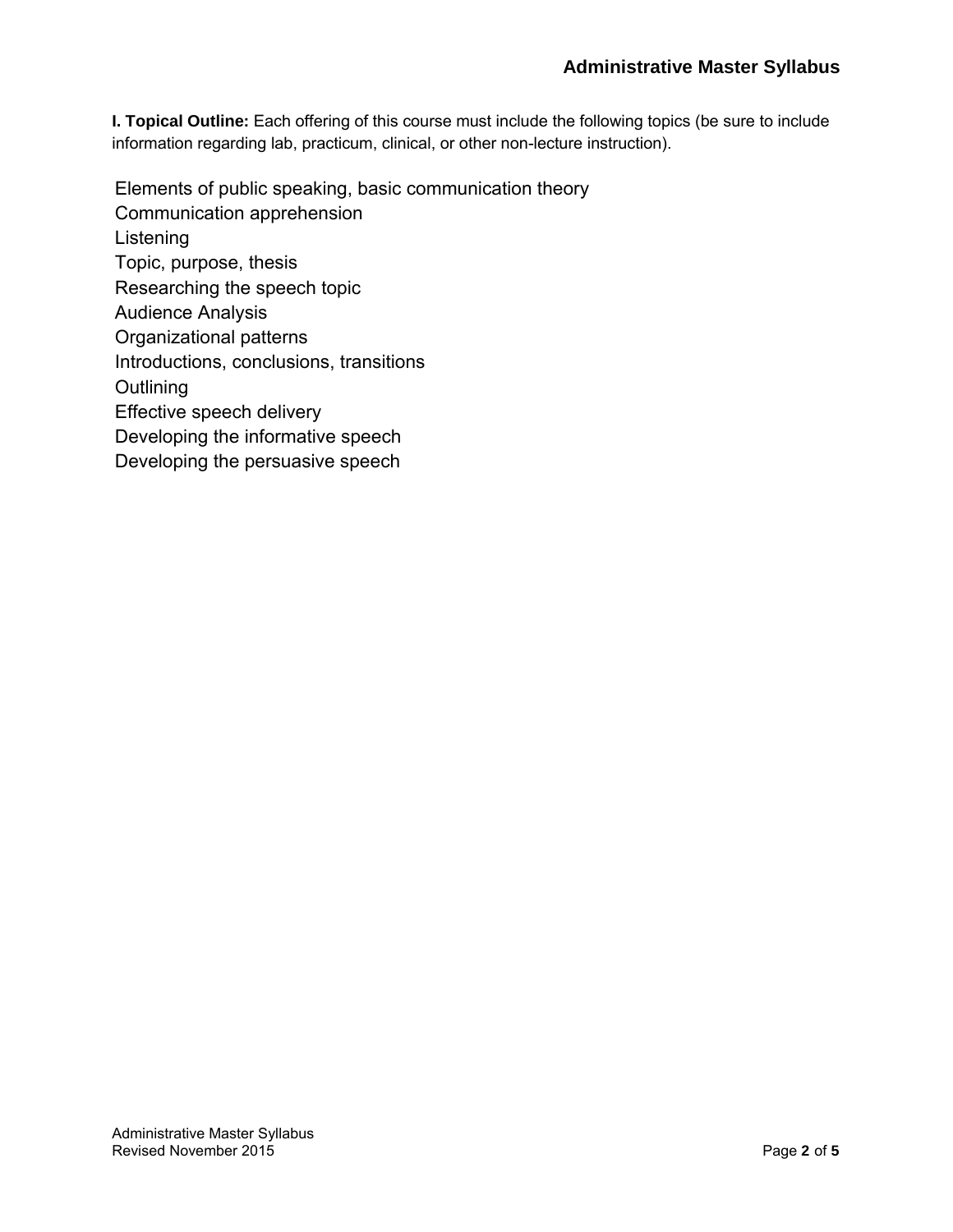**I. Topical Outline:** Each offering of this course must include the following topics (be sure to include information regarding lab, practicum, clinical, or other non-lecture instruction).

Elements of public speaking, basic communication theory Communication apprehension Listening Topic, purpose, thesis Researching the speech topic Audience Analysis Organizational patterns Introductions, conclusions, transitions **Outlining** Effective speech delivery Developing the informative speech Developing the persuasive speech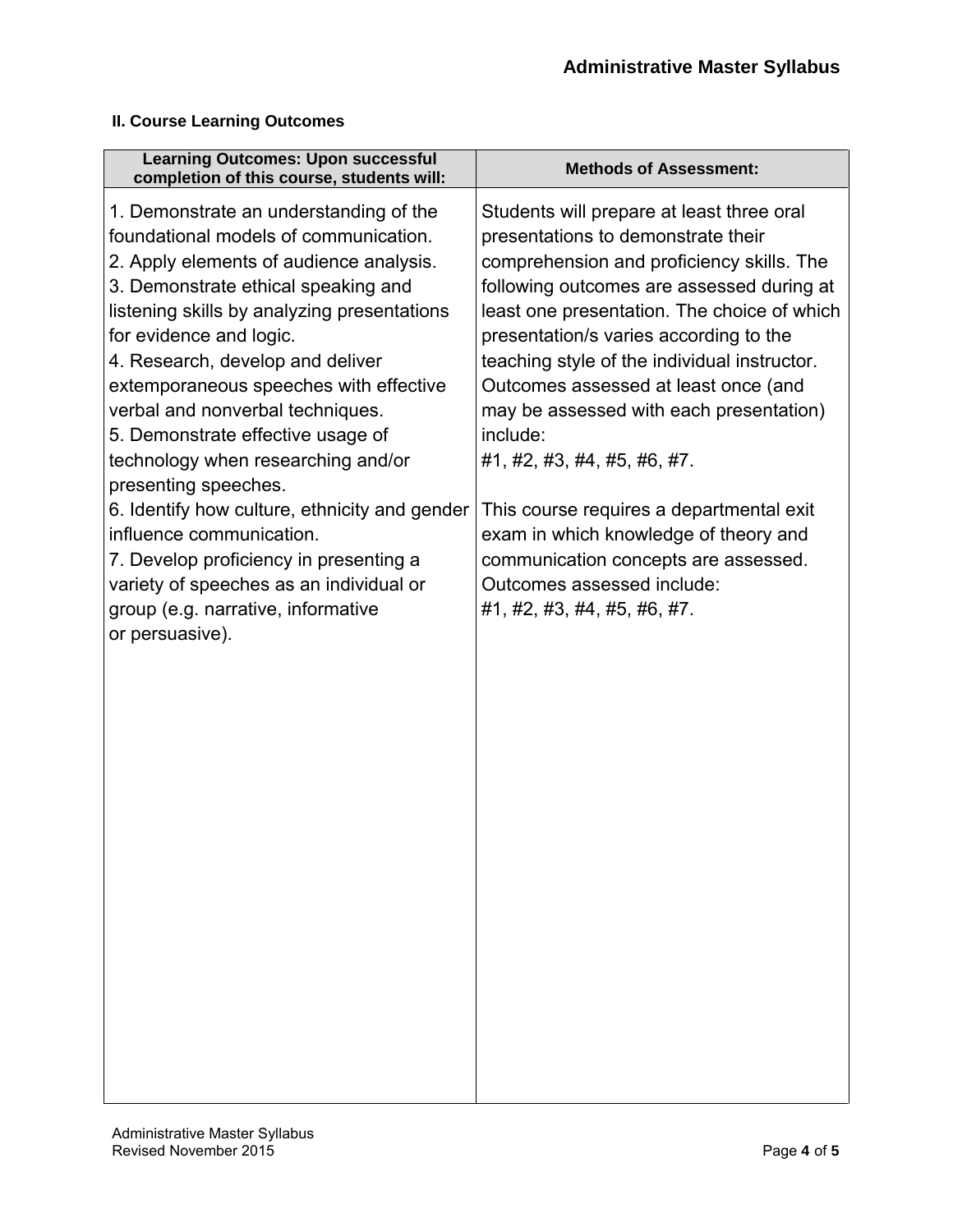### **II. Course Learning Outcomes**

| <b>Learning Outcomes: Upon successful</b><br>completion of this course, students will:                                                                                                                                                                                                                                                                                                                                                                                                                                                                                                                                                                                                      | <b>Methods of Assessment:</b>                                                                                                                                                                                                                                                                                                                                                                                                                                                                                                                                                                                                              |
|---------------------------------------------------------------------------------------------------------------------------------------------------------------------------------------------------------------------------------------------------------------------------------------------------------------------------------------------------------------------------------------------------------------------------------------------------------------------------------------------------------------------------------------------------------------------------------------------------------------------------------------------------------------------------------------------|--------------------------------------------------------------------------------------------------------------------------------------------------------------------------------------------------------------------------------------------------------------------------------------------------------------------------------------------------------------------------------------------------------------------------------------------------------------------------------------------------------------------------------------------------------------------------------------------------------------------------------------------|
| 1. Demonstrate an understanding of the<br>foundational models of communication.<br>2. Apply elements of audience analysis.<br>3. Demonstrate ethical speaking and<br>listening skills by analyzing presentations<br>for evidence and logic.<br>4. Research, develop and deliver<br>extemporaneous speeches with effective<br>verbal and nonverbal techniques.<br>5. Demonstrate effective usage of<br>technology when researching and/or<br>presenting speeches.<br>6. Identify how culture, ethnicity and gender<br>influence communication.<br>7. Develop proficiency in presenting a<br>variety of speeches as an individual or<br>group (e.g. narrative, informative<br>or persuasive). | Students will prepare at least three oral<br>presentations to demonstrate their<br>comprehension and proficiency skills. The<br>following outcomes are assessed during at<br>least one presentation. The choice of which<br>presentation/s varies according to the<br>teaching style of the individual instructor.<br>Outcomes assessed at least once (and<br>may be assessed with each presentation)<br>include:<br>#1, #2, #3, #4, #5, #6, #7.<br>This course requires a departmental exit<br>exam in which knowledge of theory and<br>communication concepts are assessed.<br>Outcomes assessed include:<br>#1, #2, #3, #4, #5, #6, #7. |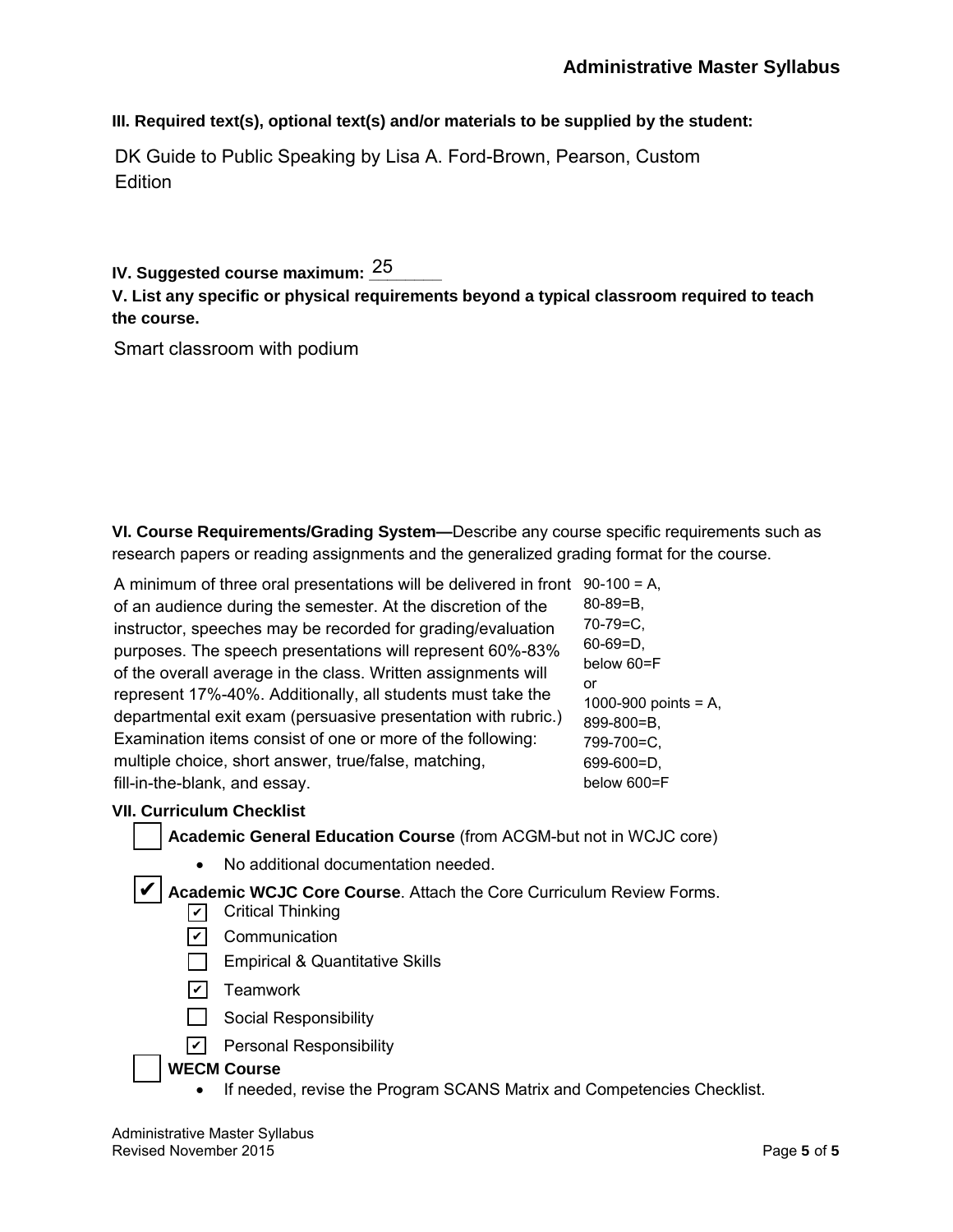**III. Required text(s), optional text(s) and/or materials to be supplied by the student:**

DK Guide to Public Speaking by Lisa A. Ford-Brown, Pearson, Custom **Edition** 

## IV. Suggested course maximum: <u>25 \_</u>\_\_\_

### **V. List any specific or physical requirements beyond a typical classroom required to teach the course.**

Smart classroom with podium

**VI. Course Requirements/Grading System—**Describe any course specific requirements such as research papers or reading assignments and the generalized grading format for the course.

A minimum of three oral presentations will be delivered in front 90-100 = A, of an audience during the semester. At the discretion of the instructor, speeches may be recorded for grading/evaluation purposes. The speech presentations will represent 60%-83% of the overall average in the class. Written assignments will represent 17%-40%. Additionally, all students must take the departmental exit exam (persuasive presentation with rubric.) Examination items consist of one or more of the following: multiple choice, short answer, true/false, matching, fill-in-the-blank, and essay. 80-89=B, 70-79=C, 60-69=D, or

below 60=F 1000-900 points = A, 899-800=B, 799-700=C, 699-600=D, below 600=F

### **VII. Curriculum Checklist**

✔

**Academic General Education Course** (from ACGM-but not in WCJC core)

• No additional documentation needed.

**Academic WCJC Core Course**. Attach the Core Curriculum Review Forms.

- ✔ Critical Thinking
- <u>✔</u> Communication
- **Empirical & Quantitative Skills**
- <u>✔</u>] Teamwork
- $\Box$  Social Responsibility
- <u>v</u> Personal Responsibility

### **WECM Course**

• If needed, revise the Program SCANS Matrix and Competencies Checklist.

Administrative Master Syllabus Revised November 2015 **Page 5** of 5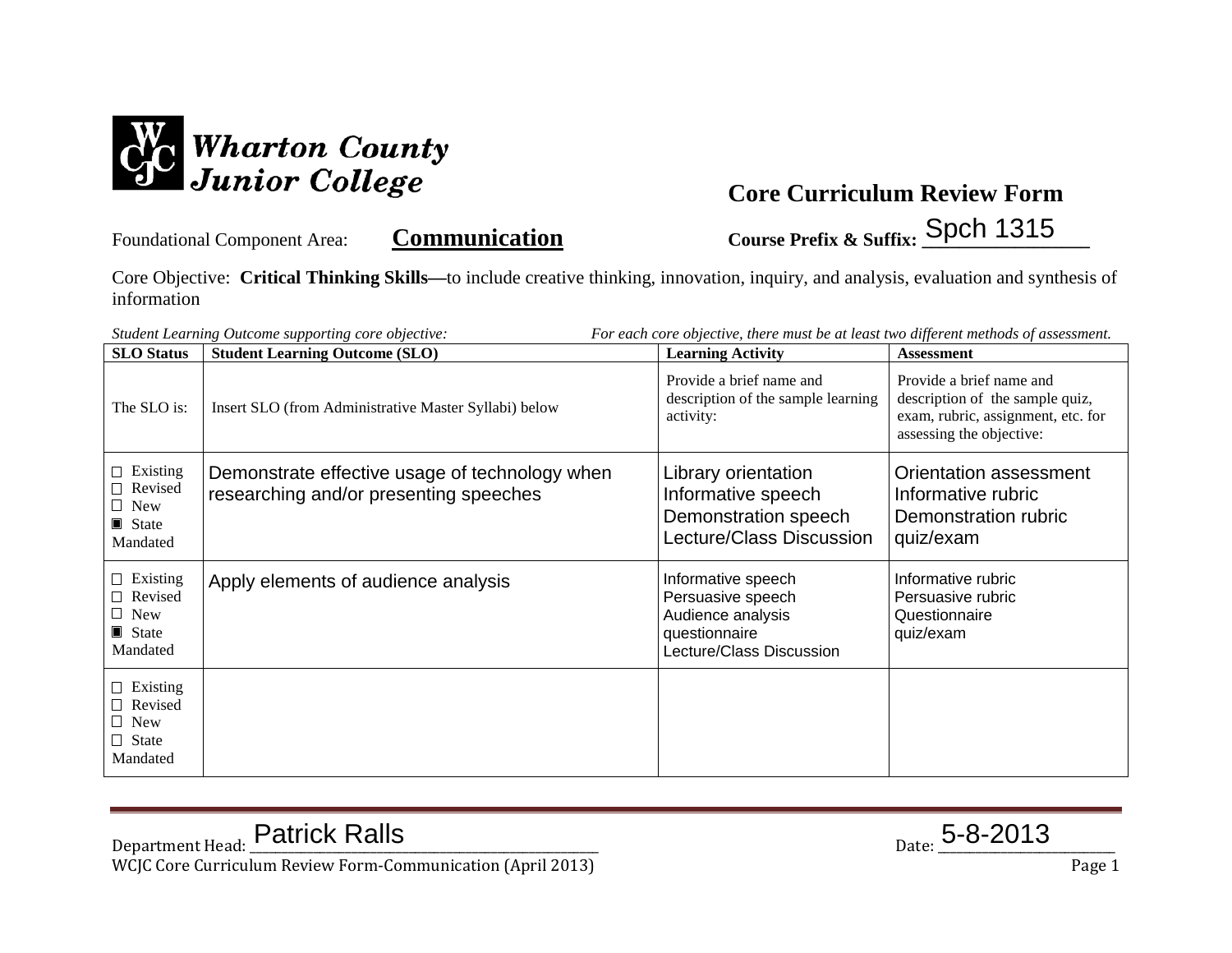

Foundational Component Area: **Communication** Course Prefix & Suffix: Spch 1315

Core Objective: **Critical Thinking Skills—**to include creative thinking, innovation, inquiry, and analysis, evaluation and synthesis of information

| For each core objective, there must be at least two different methods of assessment.<br>Student Learning Outcome supporting core objective: |                                                                                          |                                                                                                           |                                                                                                                               |  |
|---------------------------------------------------------------------------------------------------------------------------------------------|------------------------------------------------------------------------------------------|-----------------------------------------------------------------------------------------------------------|-------------------------------------------------------------------------------------------------------------------------------|--|
| <b>SLO</b> Status                                                                                                                           | <b>Student Learning Outcome (SLO)</b>                                                    | <b>Learning Activity</b>                                                                                  | <b>Assessment</b>                                                                                                             |  |
| The SLO is:                                                                                                                                 | Insert SLO (from Administrative Master Syllabi) below                                    | Provide a brief name and<br>description of the sample learning<br>activity:                               | Provide a brief name and<br>description of the sample quiz,<br>exam, rubric, assignment, etc. for<br>assessing the objective: |  |
| $\Box$ Existing<br>Revised<br>$\Box$ New<br>$\blacksquare$ State<br>Mandated                                                                | Demonstrate effective usage of technology when<br>researching and/or presenting speeches | Library orientation<br>Informative speech<br>Demonstration speech<br>Lecture/Class Discussion             | Orientation assessment<br>Informative rubric<br>Demonstration rubric<br>quiz/exam                                             |  |
| $\Box$ Existing<br>$\Box$ Revised<br>$\Box$ New<br>State<br>Mandated                                                                        | Apply elements of audience analysis                                                      | Informative speech<br>Persuasive speech<br>Audience analysis<br>questionnaire<br>Lecture/Class Discussion | Informative rubric<br>Persuasive rubric<br>Questionnaire<br>quiz/exam                                                         |  |
| $\Box$ Existing<br>$\Box$ Revised<br>$\Box$ New<br>$\Box$ State<br>Mandated                                                                 |                                                                                          |                                                                                                           |                                                                                                                               |  |

 $_{\text{Date:}}$  5-8-2013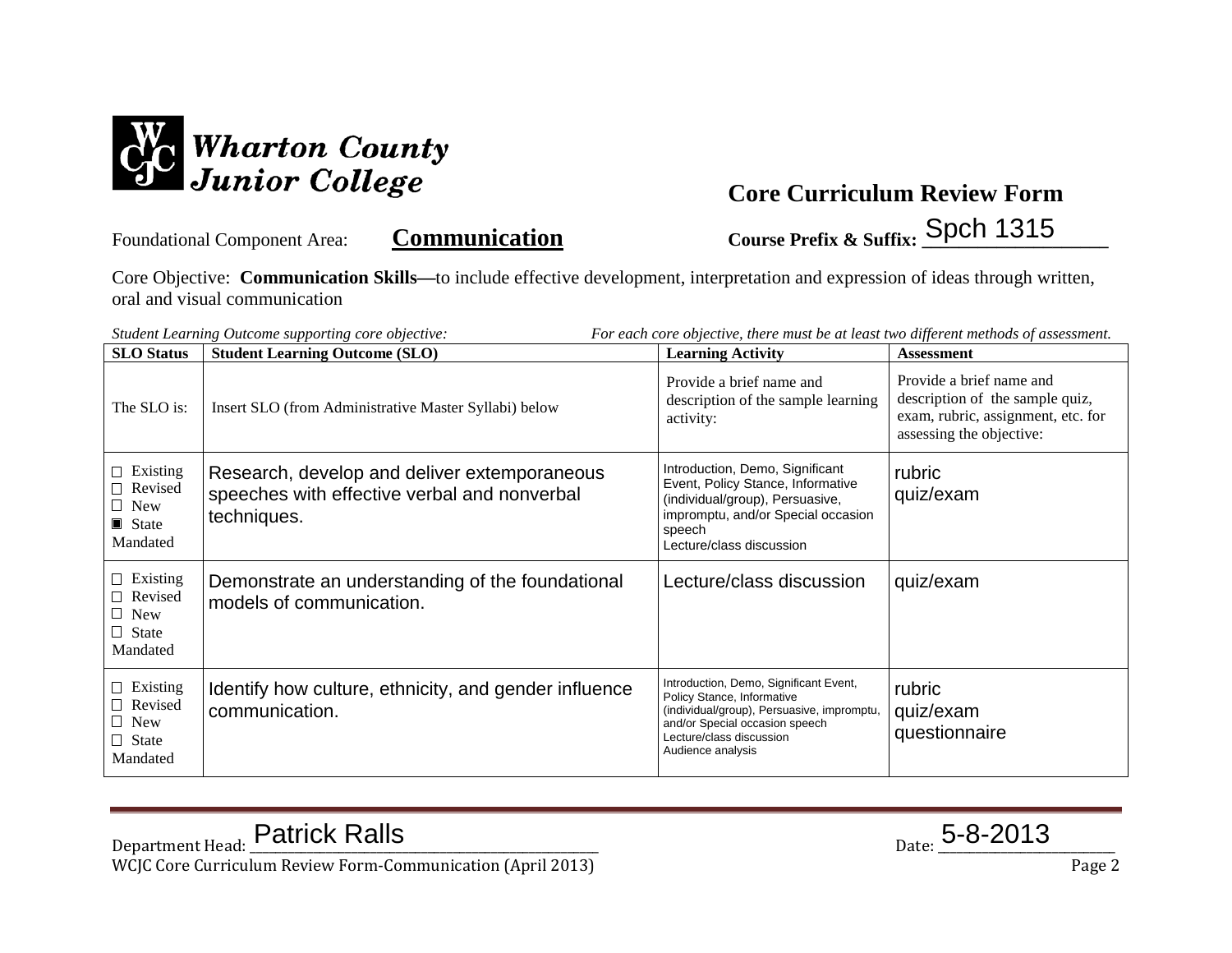

Foundational Component Area: **Communication Course Prefix & Suffix: \_\_\_\_\_\_\_\_\_\_\_\_\_\_\_\_\_\_\_\_** Spch 1315

Core Objective: **Communication Skills—**to include effective development, interpretation and expression of ideas through written, oral and visual communication

| <b>SLO</b> Status                                                           | <b>Student Learning Outcome (SLO)</b>                                                                       | <b>Learning Activity</b>                                                                                                                                                                              | <b>Assessment</b>                                                                                                             |
|-----------------------------------------------------------------------------|-------------------------------------------------------------------------------------------------------------|-------------------------------------------------------------------------------------------------------------------------------------------------------------------------------------------------------|-------------------------------------------------------------------------------------------------------------------------------|
| The SLO is:                                                                 | Insert SLO (from Administrative Master Syllabi) below                                                       | Provide a brief name and<br>description of the sample learning<br>activity:                                                                                                                           | Provide a brief name and<br>description of the sample quiz,<br>exam, rubric, assignment, etc. for<br>assessing the objective: |
| $\Box$ Existing<br>$\Box$ Revised<br>$\Box$ New<br>State<br>Mandated        | Research, develop and deliver extemporaneous<br>speeches with effective verbal and nonverbal<br>techniques. | Introduction, Demo, Significant<br>Event, Policy Stance, Informative<br>(individual/group), Persuasive,<br>impromptu, and/or Special occasion<br>speech<br>Lecture/class discussion                   | rubric<br>quiz/exam                                                                                                           |
| $\Box$ Existing<br>$\Box$ Revised<br>$\Box$ New<br>$\Box$ State<br>Mandated | Demonstrate an understanding of the foundational<br>models of communication.                                | Lecture/class discussion                                                                                                                                                                              | quiz/exam                                                                                                                     |
| $\Box$ Existing<br>$\Box$ Revised<br>$\Box$ New<br>$\Box$ State<br>Mandated | Identify how culture, ethnicity, and gender influence<br>communication.                                     | Introduction, Demo, Significant Event,<br>Policy Stance, Informative<br>(individual/group), Persuasive, impromptu,<br>and/or Special occasion speech<br>Lecture/class discussion<br>Audience analysis | rubric<br>quiz/exam<br>questionnaire                                                                                          |

*Student Learning Outcome supporting core objective: For each core objective, there must be at least two different methods of assessment.*

 $_{\text{Date:}}$  5-8-2013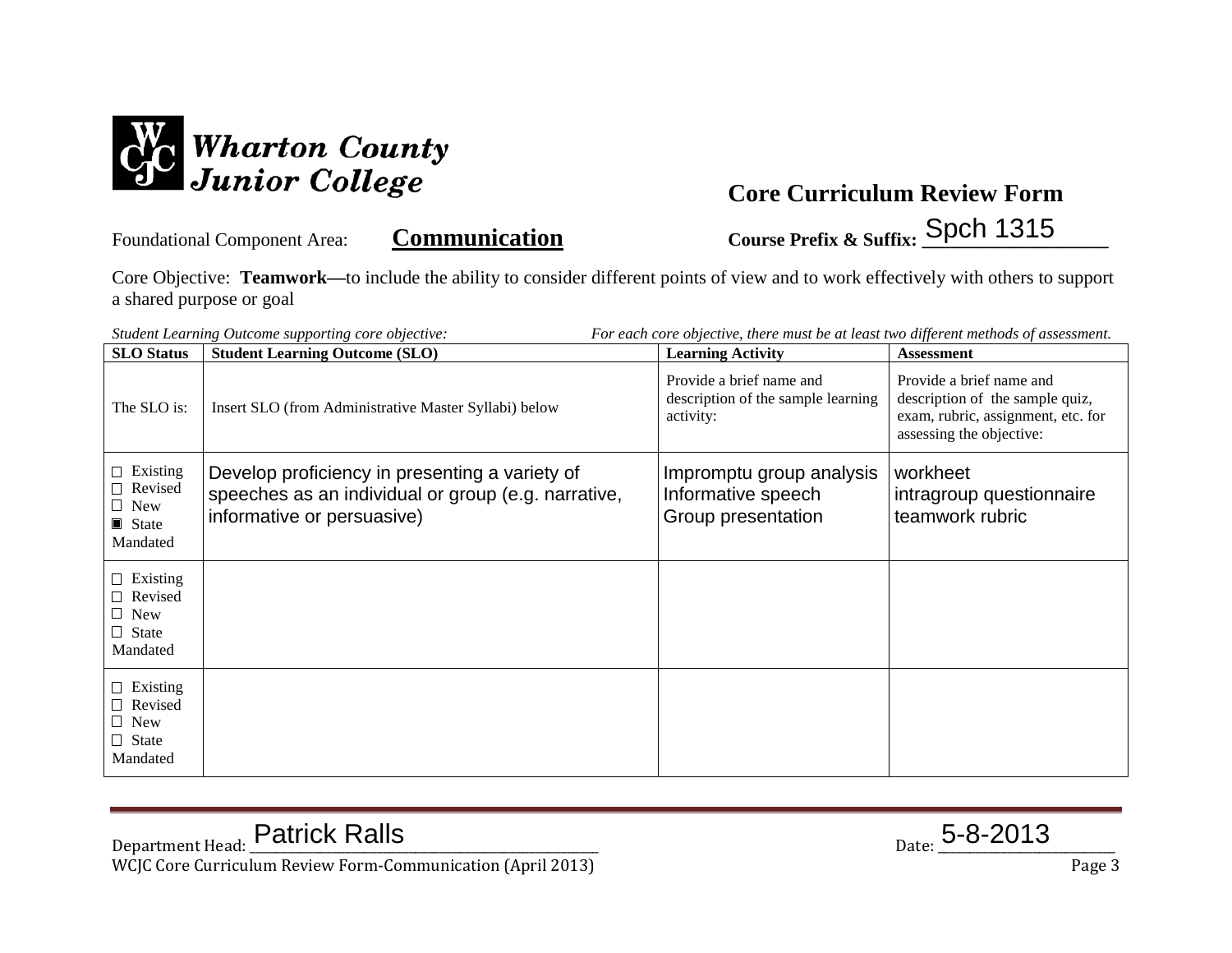

Foundational Component Area: **Communication Course Prefix & Suffix: \_\_\_\_\_\_\_\_\_\_\_\_\_\_\_\_\_\_\_\_** Spch 1315

Core Objective: **Teamwork—**to include the ability to consider different points of view and to work effectively with others to support a shared purpose or goal

| For each core objective, there must be at least two different methods of assessment.<br>Student Learning Outcome supporting core objective: |                                                                                                                                     |                                                                             |                                                                                                                               |  |
|---------------------------------------------------------------------------------------------------------------------------------------------|-------------------------------------------------------------------------------------------------------------------------------------|-----------------------------------------------------------------------------|-------------------------------------------------------------------------------------------------------------------------------|--|
| <b>SLO</b> Status                                                                                                                           | <b>Student Learning Outcome (SLO)</b>                                                                                               | <b>Learning Activity</b>                                                    | <b>Assessment</b>                                                                                                             |  |
| The SLO is:                                                                                                                                 | Insert SLO (from Administrative Master Syllabi) below                                                                               | Provide a brief name and<br>description of the sample learning<br>activity: | Provide a brief name and<br>description of the sample quiz,<br>exam, rubric, assignment, etc. for<br>assessing the objective: |  |
| $\Box$ Existing<br>□ Revised<br>$\Box$ New<br>$\blacksquare$ State<br>Mandated                                                              | Develop proficiency in presenting a variety of<br>speeches as an individual or group (e.g. narrative,<br>informative or persuasive) | Impromptu group analysis<br>Informative speech<br>Group presentation        | workheet<br>intragroup questionnaire<br>teamwork rubric                                                                       |  |
| $\Box$ Existing<br>$\Box$ Revised<br>$\Box$ New<br>$\Box$ State<br>Mandated                                                                 |                                                                                                                                     |                                                                             |                                                                                                                               |  |
| $\Box$ Existing<br>□ Revised<br>$\Box$ New<br>$\Box$ State<br>Mandated                                                                      |                                                                                                                                     |                                                                             |                                                                                                                               |  |

 $_{\text{Date:}}$  5-8-2013